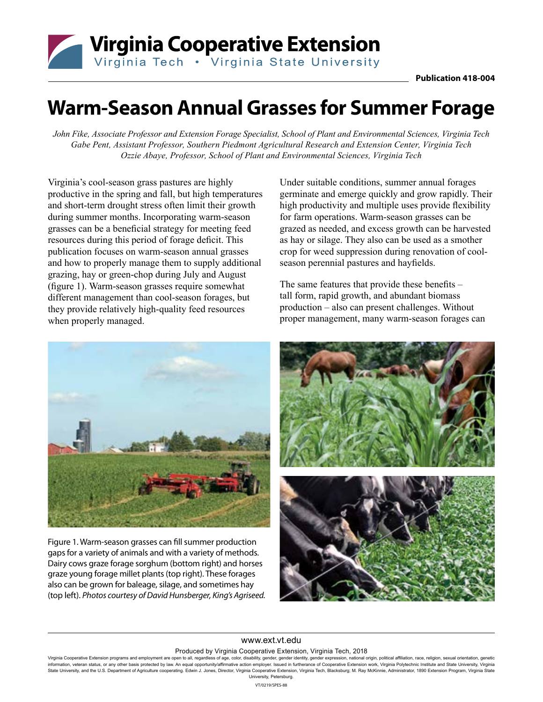

# **Warm-Season Annual Grasses for Summer Forage**

*John Fike, Associate Professor and Extension Forage Specialist, School of Plant and Environmental Sciences, Virginia Tech Gabe Pent, Assistant Professor, Southern Piedmont Agricultural Research and Extension Center, Virginia Tech Ozzie Abaye, Professor, School of Plant and Environmental Sciences, Virginia Tech*

Virginia's cool-season grass pastures are highly productive in the spring and fall, but high temperatures and short-term drought stress often limit their growth during summer months. Incorporating warm-season grasses can be a beneficial strategy for meeting feed resources during this period of forage deficit. This publication focuses on warm-season annual grasses and how to properly manage them to supply additional grazing, hay or green-chop during July and August (figure 1). Warm-season grasses require somewhat different management than cool-season forages, but they provide relatively high-quality feed resources when properly managed.

Under suitable conditions, summer annual forages germinate and emerge quickly and grow rapidly. Their high productivity and multiple uses provide flexibility for farm operations. Warm-season grasses can be grazed as needed, and excess growth can be harvested as hay or silage. They also can be used as a smother crop for weed suppression during renovation of coolseason perennial pastures and hayfields.

The same features that provide these benefits – tall form, rapid growth, and abundant biomass production – also can present challenges. Without proper management, many warm-season forages can



Figure 1. Warm-season grasses can fill summer production gaps for a variety of animals and with a variety of methods. Dairy cows graze forage sorghum (bottom right) and horses graze young forage millet plants (top right). These forages also can be grown for baleage, silage, and sometimes hay (top left). *Photos courtesy of David Hunsberger, King's Agriseed.*



#### www.ext.vt.edu Produced by Virginia Cooperative Extension, Virginia Tech, 2018

Virginia Cooperative Extension programs and employment are open to all, regardless of age, color, disability, gender, gender identity, gender expression, national origin, political affiliation, race, religion, sexual orien information, veteran status, or any other basis protected by law. An equal opportunity/affirmative action employer. Issued in furtherance of Cooperative Extension work, Virginia Polytechnic Institute and State University, State University, and the U.S. Department of Agriculture cooperating. Edwin J. Jones, Director, Virginia Cooperative Extension, Virginia Tech, Blacksburg; M. Ray McKinnie, Administrator, 1890 Extension Program, Virginia St University, Petersburg.

VT/0219/SPES-88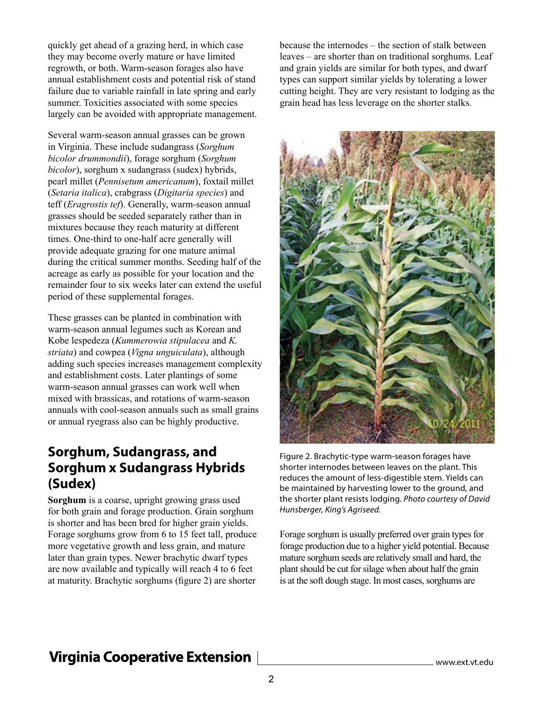quickly get ahead of a grazing herd, in which case they may become overly mature or have limited regrowth, or both. Warm-season forages also have annual establishment costs and potential risk of stand failure due to variable rainfall in late spring and early summer. Toxicities associated with some species largely can be avoided with appropriate management.

Several warm-season annual grasses can be grown in Virginia. These include sudangrass (*Sorghum bicolor drummondii*), forage sorghum (*Sorghum bicolor*), sorghum x sudangrass (sudex) hybrids, pearl millet (*Pennisetum americanum*), foxtail millet (*Setaria italica*), crabgrass (*Digitaria species*) and teff (*Eragrostis tef*). Generally, warm-season annual grasses should be seeded separately rather than in mixtures because they reach maturity at different times. One-third to one-half acre generally will provide adequate grazing for one mature animal during the critical summer months. Seeding half of the acreage as early as possible for your location and the remainder four to six weeks later can extend the useful period of these supplemental forages.

These grasses can be planted in combination with warm-season annual legumes such as Korean and Kobe lespedeza (*Kummerowia stipulacea* and *K. striata*) and cowpea (*Vigna unguiculata*), although adding such species increases management complexity and establishment costs. Later plantings of some warm-season annual grasses can work well when mixed with brassicas, and rotations of warm-season annuals with cool-season annuals such as small grains or annual ryegrass also can be highly productive.

### **Sorghum, Sudangrass, and Sorghum x Sudangrass Hybrids (Sudex)**

**Sorghum** is a coarse, upright growing grass used for both grain and forage production. Grain sorghum is shorter and has been bred for higher grain yields. Forage sorghums grow from 6 to 15 feet tall, produce more vegetative growth and less grain, and mature later than grain types. Newer brachytic dwarf types are now available and typically will reach 4 to 6 feet at maturity. Brachytic sorghums (figure 2) are shorter

because the internodes – the section of stalk between leaves – are shorter than on traditional sorghums. Leaf and grain yields are similar for both types, and dwarf types can support similar yields by tolerating a lower cutting height. They are very resistant to lodging as the grain head has less leverage on the shorter stalks.



Figure 2. Brachytic-type warm-season forages have shorter internodes between leaves on the plant. This reduces the amount of less-digestible stem. Yields can be maintained by harvesting lower to the ground, and the shorter plant resists lodging. *Photo courtesy of David Hunsberger, King's Agriseed.*

Forage sorghum is usually preferred over grain types for forage production due to a higher yield potential. Because mature sorghum seeds are relatively small and hard, the plant should be cut for silage when about half the grain is at the soft dough stage. In most cases, sorghums are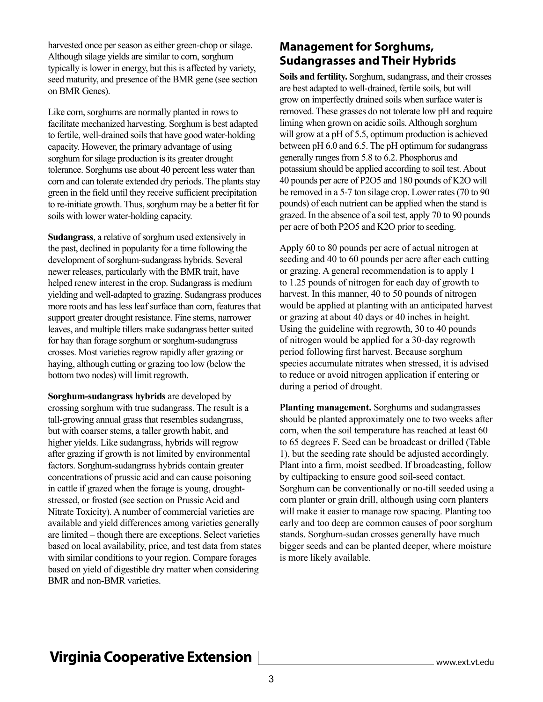harvested once per season as either green-chop or silage. Although silage yields are similar to corn, sorghum typically is lower in energy, but this is affected by variety, seed maturity, and presence of the BMR gene (see section on BMR Genes).

Like corn, sorghums are normally planted in rows to facilitate mechanized harvesting. Sorghum is best adapted to fertile, well-drained soils that have good water-holding capacity. However, the primary advantage of using sorghum for silage production is its greater drought tolerance. Sorghums use about 40 percent less water than corn and can tolerate extended dry periods. The plants stay green in the field until they receive sufficient precipitation to re-initiate growth. Thus, sorghum may be a better fit for soils with lower water-holding capacity.

**Sudangrass**, a relative of sorghum used extensively in the past, declined in popularity for a time following the development of sorghum-sudangrass hybrids. Several newer releases, particularly with the BMR trait, have helped renew interest in the crop. Sudangrass is medium yielding and well-adapted to grazing. Sudangrass produces more roots and has less leaf surface than corn, features that support greater drought resistance. Fine stems, narrower leaves, and multiple tillers make sudangrass better suited for hay than forage sorghum or sorghum-sudangrass crosses. Most varieties regrow rapidly after grazing or haying, although cutting or grazing too low (below the bottom two nodes) will limit regrowth.

**Sorghum-sudangrass hybrids** are developed by crossing sorghum with true sudangrass. The result is a tall-growing annual grass that resembles sudangrass, but with coarser stems, a taller growth habit, and higher yields. Like sudangrass, hybrids will regrow after grazing if growth is not limited by environmental factors. Sorghum-sudangrass hybrids contain greater concentrations of prussic acid and can cause poisoning in cattle if grazed when the forage is young, droughtstressed, or frosted (see section on Prussic Acid and Nitrate Toxicity). A number of commercial varieties are available and yield differences among varieties generally are limited – though there are exceptions. Select varieties based on local availability, price, and test data from states with similar conditions to your region. Compare forages based on yield of digestible dry matter when considering BMR and non-BMR varieties.

#### **Management for Sorghums, Sudangrasses and Their Hybrids**

**Soils and fertility.** Sorghum, sudangrass, and their crosses are best adapted to well-drained, fertile soils, but will grow on imperfectly drained soils when surface water is removed. These grasses do not tolerate low pH and require liming when grown on acidic soils. Although sorghum will grow at a pH of 5.5, optimum production is achieved between pH 6.0 and 6.5. The pH optimum for sudangrass generally ranges from 5.8 to 6.2. Phosphorus and potassium should be applied according to soil test. About 40 pounds per acre of P2O5 and 180 pounds of K2O will be removed in a 5-7 ton silage crop. Lower rates (70 to 90 pounds) of each nutrient can be applied when the stand is grazed. In the absence of a soil test, apply 70 to 90 pounds per acre of both P2O5 and K2O prior to seeding.

Apply 60 to 80 pounds per acre of actual nitrogen at seeding and 40 to 60 pounds per acre after each cutting or grazing. A general recommendation is to apply 1 to 1.25 pounds of nitrogen for each day of growth to harvest. In this manner, 40 to 50 pounds of nitrogen would be applied at planting with an anticipated harvest or grazing at about 40 days or 40 inches in height. Using the guideline with regrowth, 30 to 40 pounds of nitrogen would be applied for a 30-day regrowth period following first harvest. Because sorghum species accumulate nitrates when stressed, it is advised to reduce or avoid nitrogen application if entering or during a period of drought.

**Planting management.** Sorghums and sudangrasses should be planted approximately one to two weeks after corn, when the soil temperature has reached at least 60 to 65 degrees F. Seed can be broadcast or drilled (Table 1), but the seeding rate should be adjusted accordingly. Plant into a firm, moist seedbed. If broadcasting, follow by cultipacking to ensure good soil-seed contact. Sorghum can be conventionally or no-till seeded using a corn planter or grain drill, although using corn planters will make it easier to manage row spacing. Planting too early and too deep are common causes of poor sorghum stands. Sorghum-sudan crosses generally have much bigger seeds and can be planted deeper, where moisture is more likely available.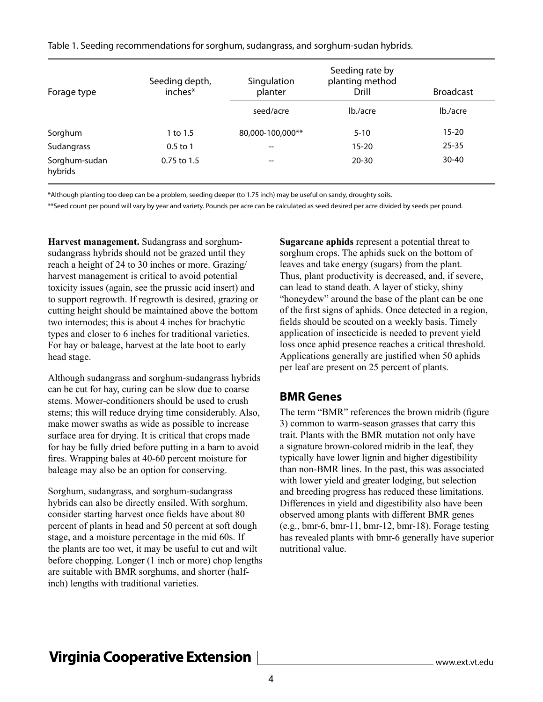| Forage type              | Seeding depth,<br>inches* | Singulation<br>planter | Seeding rate by<br>planting method<br>Drill | <b>Broadcast</b> |
|--------------------------|---------------------------|------------------------|---------------------------------------------|------------------|
|                          |                           | seed/acre              | lb./acre                                    | lb./acre         |
| Sorghum                  | 1 to 1.5                  | 80,000-100,000**       | $5 - 10$                                    | $15 - 20$        |
| Sudangrass               | $0.5$ to 1                | --                     | $15 - 20$                                   | $25 - 35$        |
| Sorghum-sudan<br>hybrids | $0.75$ to 1.5             | --                     | $20 - 30$                                   | $30 - 40$        |

Table 1. Seeding recommendations for sorghum, sudangrass, and sorghum-sudan hybrids.

\*Although planting too deep can be a problem, seeding deeper (to 1.75 inch) may be useful on sandy, droughty soils.

\*\*Seed count per pound will vary by year and variety. Pounds per acre can be calculated as seed desired per acre divided by seeds per pound.

**Harvest management.** Sudangrass and sorghumsudangrass hybrids should not be grazed until they reach a height of 24 to 30 inches or more. Grazing/ harvest management is critical to avoid potential toxicity issues (again, see the prussic acid insert) and to support regrowth. If regrowth is desired, grazing or cutting height should be maintained above the bottom two internodes; this is about 4 inches for brachytic types and closer to 6 inches for traditional varieties. For hay or baleage, harvest at the late boot to early head stage.

Although sudangrass and sorghum-sudangrass hybrids can be cut for hay, curing can be slow due to coarse stems. Mower-conditioners should be used to crush stems; this will reduce drying time considerably. Also, make mower swaths as wide as possible to increase surface area for drying. It is critical that crops made for hay be fully dried before putting in a barn to avoid fires. Wrapping bales at 40-60 percent moisture for baleage may also be an option for conserving.

Sorghum, sudangrass, and sorghum-sudangrass hybrids can also be directly ensiled. With sorghum, consider starting harvest once fields have about 80 percent of plants in head and 50 percent at soft dough stage, and a moisture percentage in the mid 60s. If the plants are too wet, it may be useful to cut and wilt before chopping. Longer (1 inch or more) chop lengths are suitable with BMR sorghums, and shorter (halfinch) lengths with traditional varieties.

**Sugarcane aphids** represent a potential threat to sorghum crops. The aphids suck on the bottom of leaves and take energy (sugars) from the plant. Thus, plant productivity is decreased, and, if severe, can lead to stand death. A layer of sticky, shiny "honeydew" around the base of the plant can be one of the first signs of aphids. Once detected in a region, fields should be scouted on a weekly basis. Timely application of insecticide is needed to prevent yield loss once aphid presence reaches a critical threshold. Applications generally are justified when 50 aphids per leaf are present on 25 percent of plants.

#### **BMR Genes**

The term "BMR" references the brown midrib (figure 3) common to warm-season grasses that carry this trait. Plants with the BMR mutation not only have a signature brown-colored midrib in the leaf, they typically have lower lignin and higher digestibility than non-BMR lines. In the past, this was associated with lower yield and greater lodging, but selection and breeding progress has reduced these limitations. Differences in yield and digestibility also have been observed among plants with different BMR genes (e.g., bmr-6, bmr-11, bmr-12, bmr-18). Forage testing has revealed plants with bmr-6 generally have superior nutritional value.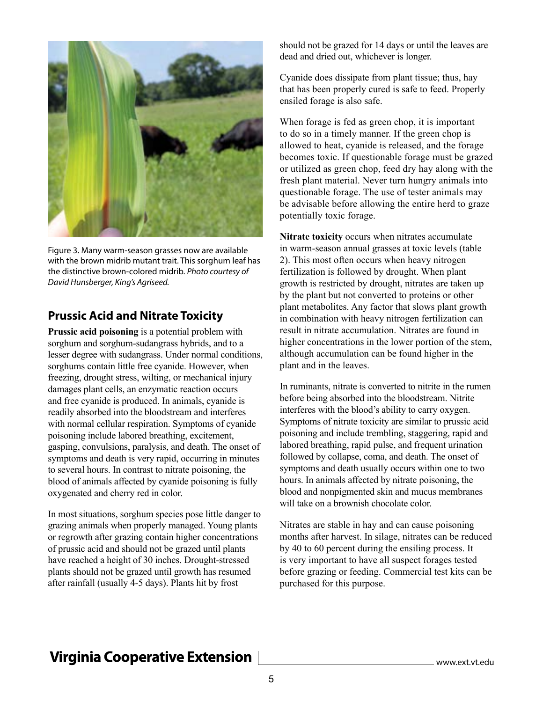

Figure 3. Many warm-season grasses now are available with the brown midrib mutant trait. This sorghum leaf has the distinctive brown-colored midrib. *Photo courtesy of David Hunsberger, King's Agriseed.*

#### **Prussic Acid and Nitrate Toxicity**

**Prussic acid poisoning** is a potential problem with sorghum and sorghum-sudangrass hybrids, and to a lesser degree with sudangrass. Under normal conditions, sorghums contain little free cyanide. However, when freezing, drought stress, wilting, or mechanical injury damages plant cells, an enzymatic reaction occurs and free cyanide is produced. In animals, cyanide is readily absorbed into the bloodstream and interferes with normal cellular respiration. Symptoms of cyanide poisoning include labored breathing, excitement, gasping, convulsions, paralysis, and death. The onset of symptoms and death is very rapid, occurring in minutes to several hours. In contrast to nitrate poisoning, the blood of animals affected by cyanide poisoning is fully oxygenated and cherry red in color.

In most situations, sorghum species pose little danger to grazing animals when properly managed. Young plants or regrowth after grazing contain higher concentrations of prussic acid and should not be grazed until plants have reached a height of 30 inches. Drought-stressed plants should not be grazed until growth has resumed after rainfall (usually 4-5 days). Plants hit by frost

should not be grazed for 14 days or until the leaves are dead and dried out, whichever is longer.

Cyanide does dissipate from plant tissue; thus, hay that has been properly cured is safe to feed. Properly ensiled forage is also safe.

When forage is fed as green chop, it is important to do so in a timely manner. If the green chop is allowed to heat, cyanide is released, and the forage becomes toxic. If questionable forage must be grazed or utilized as green chop, feed dry hay along with the fresh plant material. Never turn hungry animals into questionable forage. The use of tester animals may be advisable before allowing the entire herd to graze potentially toxic forage.

**Nitrate toxicity** occurs when nitrates accumulate in warm-season annual grasses at toxic levels (table 2). This most often occurs when heavy nitrogen fertilization is followed by drought. When plant growth is restricted by drought, nitrates are taken up by the plant but not converted to proteins or other plant metabolites. Any factor that slows plant growth in combination with heavy nitrogen fertilization can result in nitrate accumulation. Nitrates are found in higher concentrations in the lower portion of the stem, although accumulation can be found higher in the plant and in the leaves.

In ruminants, nitrate is converted to nitrite in the rumen before being absorbed into the bloodstream. Nitrite interferes with the blood's ability to carry oxygen. Symptoms of nitrate toxicity are similar to prussic acid poisoning and include trembling, staggering, rapid and labored breathing, rapid pulse, and frequent urination followed by collapse, coma, and death. The onset of symptoms and death usually occurs within one to two hours. In animals affected by nitrate poisoning, the blood and nonpigmented skin and mucus membranes will take on a brownish chocolate color.

Nitrates are stable in hay and can cause poisoning months after harvest. In silage, nitrates can be reduced by 40 to 60 percent during the ensiling process. It is very important to have all suspect forages tested before grazing or feeding. Commercial test kits can be purchased for this purpose.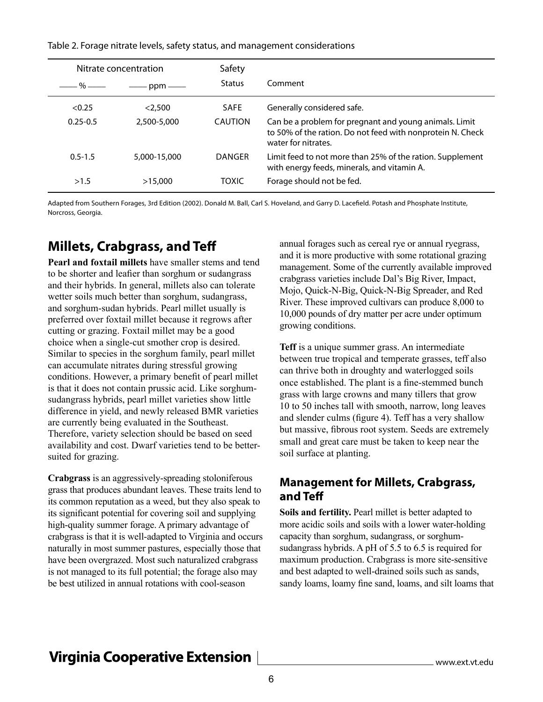| Table 2. Forage nitrate levels, safety status, and management considerations |  |  |
|------------------------------------------------------------------------------|--|--|

| Nitrate concentration |                       | Safety      |                                                                                                                                             |  |
|-----------------------|-----------------------|-------------|---------------------------------------------------------------------------------------------------------------------------------------------|--|
| —— % ——               | $ppm \longrightarrow$ | Status      | Comment                                                                                                                                     |  |
| < 0.25                | < 2.500               | <b>SAFE</b> | Generally considered safe.                                                                                                                  |  |
| $0.25 - 0.5$          | 2,500-5,000           | CAUTION     | Can be a problem for pregnant and young animals. Limit<br>to 50% of the ration. Do not feed with nonprotein N. Check<br>water for nitrates. |  |
| $0.5 - 1.5$           | 5,000-15,000          | DANGER      | Limit feed to not more than 25% of the ration. Supplement<br>with energy feeds, minerals, and vitamin A.                                    |  |
| >1.5                  | >15,000               | TOXIC       | Forage should not be fed.                                                                                                                   |  |

Adapted from Southern Forages, 3rd Edition (2002). Donald M. Ball, Carl S. Hoveland, and Garry D. Lacefield. Potash and Phosphate Institute, Norcross, Georgia.

### **Millets, Crabgrass, and Teff**

**Pearl and foxtail millets** have smaller stems and tend to be shorter and leafier than sorghum or sudangrass and their hybrids. In general, millets also can tolerate wetter soils much better than sorghum, sudangrass, and sorghum-sudan hybrids. Pearl millet usually is preferred over foxtail millet because it regrows after cutting or grazing. Foxtail millet may be a good choice when a single-cut smother crop is desired. Similar to species in the sorghum family, pearl millet can accumulate nitrates during stressful growing conditions. However, a primary benefit of pearl millet is that it does not contain prussic acid. Like sorghumsudangrass hybrids, pearl millet varieties show little difference in yield, and newly released BMR varieties are currently being evaluated in the Southeast. Therefore, variety selection should be based on seed availability and cost. Dwarf varieties tend to be bettersuited for grazing.

**Crabgrass** is an aggressively-spreading stoloniferous grass that produces abundant leaves. These traits lend to its common reputation as a weed, but they also speak to its significant potential for covering soil and supplying high-quality summer forage. A primary advantage of crabgrass is that it is well-adapted to Virginia and occurs naturally in most summer pastures, especially those that have been overgrazed. Most such naturalized crabgrass is not managed to its full potential; the forage also may be best utilized in annual rotations with cool-season

annual forages such as cereal rye or annual ryegrass, and it is more productive with some rotational grazing management. Some of the currently available improved crabgrass varieties include Dal's Big River, Impact, Mojo, Quick-N-Big, Quick-N-Big Spreader, and Red River. These improved cultivars can produce 8,000 to 10,000 pounds of dry matter per acre under optimum growing conditions.

**Teff** is a unique summer grass. An intermediate between true tropical and temperate grasses, teff also can thrive both in droughty and waterlogged soils once established. The plant is a fine-stemmed bunch grass with large crowns and many tillers that grow 10 to 50 inches tall with smooth, narrow, long leaves and slender culms (figure 4). Teff has a very shallow but massive, fibrous root system. Seeds are extremely small and great care must be taken to keep near the soil surface at planting.

#### **Management for Millets, Crabgrass, and Teff**

**Soils and fertility.** Pearl millet is better adapted to more acidic soils and soils with a lower water-holding capacity than sorghum, sudangrass, or sorghumsudangrass hybrids. A pH of 5.5 to 6.5 is required for maximum production. Crabgrass is more site-sensitive and best adapted to well-drained soils such as sands, sandy loams, loamy fine sand, loams, and silt loams that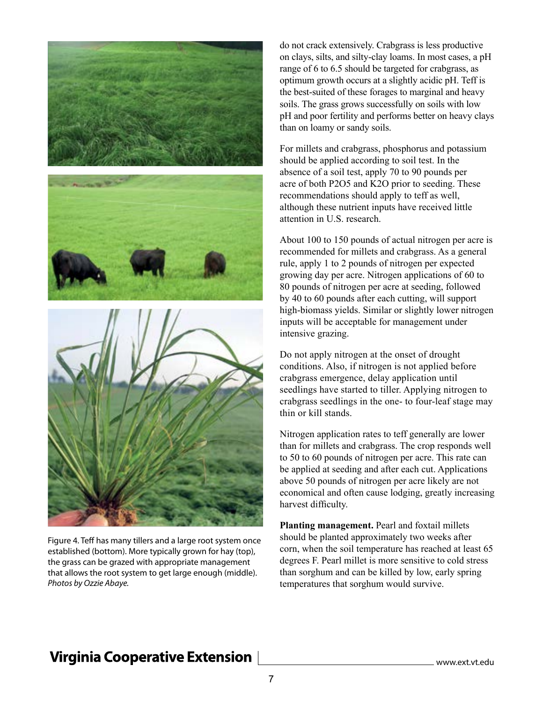

Figure 4. Teff has many tillers and a large root system once established (bottom). More typically grown for hay (top), the grass can be grazed with appropriate management that allows the root system to get large enough (middle). *Photos by Ozzie Abaye.*

do not crack extensively. Crabgrass is less productive on clays, silts, and silty-clay loams. In most cases, a pH range of 6 to 6.5 should be targeted for crabgrass, as optimum growth occurs at a slightly acidic pH. Teff is the best-suited of these forages to marginal and heavy soils. The grass grows successfully on soils with low pH and poor fertility and performs better on heavy clays than on loamy or sandy soils.

For millets and crabgrass, phosphorus and potassium should be applied according to soil test. In the absence of a soil test, apply 70 to 90 pounds per acre of both P2O5 and K2O prior to seeding. These recommendations should apply to teff as well, although these nutrient inputs have received little attention in U.S. research.

About 100 to 150 pounds of actual nitrogen per acre is recommended for millets and crabgrass. As a general rule, apply 1 to 2 pounds of nitrogen per expected growing day per acre. Nitrogen applications of 60 to 80 pounds of nitrogen per acre at seeding, followed by 40 to 60 pounds after each cutting, will support high-biomass yields. Similar or slightly lower nitrogen inputs will be acceptable for management under intensive grazing.

Do not apply nitrogen at the onset of drought conditions. Also, if nitrogen is not applied before crabgrass emergence, delay application until seedlings have started to tiller. Applying nitrogen to crabgrass seedlings in the one- to four-leaf stage may thin or kill stands.

Nitrogen application rates to teff generally are lower than for millets and crabgrass. The crop responds well to 50 to 60 pounds of nitrogen per acre. This rate can be applied at seeding and after each cut. Applications above 50 pounds of nitrogen per acre likely are not economical and often cause lodging, greatly increasing harvest difficulty.

**Planting management.** Pearl and foxtail millets should be planted approximately two weeks after corn, when the soil temperature has reached at least 65 degrees F. Pearl millet is more sensitive to cold stress than sorghum and can be killed by low, early spring temperatures that sorghum would survive.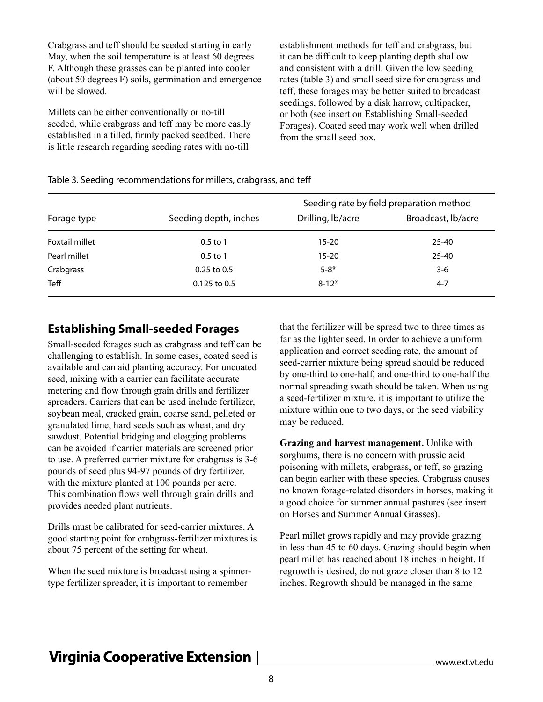Crabgrass and teff should be seeded starting in early May, when the soil temperature is at least 60 degrees F. Although these grasses can be planted into cooler (about 50 degrees F) soils, germination and emergence will be slowed.

Millets can be either conventionally or no-till seeded, while crabgrass and teff may be more easily established in a tilled, firmly packed seedbed. There is little research regarding seeding rates with no-till

establishment methods for teff and crabgrass, but it can be difficult to keep planting depth shallow and consistent with a drill. Given the low seeding rates (table 3) and small seed size for crabgrass and teff, these forages may be better suited to broadcast seedings, followed by a disk harrow, cultipacker, or both (see insert on Establishing Small-seeded Forages). Coated seed may work well when drilled from the small seed box.

#### Table 3. Seeding recommendations for millets, crabgrass, and teff

|                       |                       | Seeding rate by field preparation method |                    |  |
|-----------------------|-----------------------|------------------------------------------|--------------------|--|
| Forage type           | Seeding depth, inches | Drilling, lb/acre                        | Broadcast, lb/acre |  |
| <b>Foxtail millet</b> | $0.5$ to 1            | $15 - 20$                                | 25-40              |  |
| Pearl millet          | $0.5$ to 1            | $15 - 20$                                | $25 - 40$          |  |
| Crabgrass             | $0.25$ to $0.5$       | $5 - 8*$                                 | 3-6                |  |
| <b>Teff</b>           | $0.125$ to $0.5$      | $8 - 12*$                                | $4 - 7$            |  |

#### **Establishing Small-seeded Forages**

Small-seeded forages such as crabgrass and teff can be challenging to establish. In some cases, coated seed is available and can aid planting accuracy. For uncoated seed, mixing with a carrier can facilitate accurate metering and flow through grain drills and fertilizer spreaders. Carriers that can be used include fertilizer, soybean meal, cracked grain, coarse sand, pelleted or granulated lime, hard seeds such as wheat, and dry sawdust. Potential bridging and clogging problems can be avoided if carrier materials are screened prior to use. A preferred carrier mixture for crabgrass is 3-6 pounds of seed plus 94-97 pounds of dry fertilizer, with the mixture planted at 100 pounds per acre. This combination flows well through grain drills and provides needed plant nutrients.

Drills must be calibrated for seed-carrier mixtures. A good starting point for crabgrass-fertilizer mixtures is about 75 percent of the setting for wheat.

When the seed mixture is broadcast using a spinnertype fertilizer spreader, it is important to remember

that the fertilizer will be spread two to three times as far as the lighter seed. In order to achieve a uniform application and correct seeding rate, the amount of seed-carrier mixture being spread should be reduced by one-third to one-half, and one-third to one-half the normal spreading swath should be taken. When using a seed-fertilizer mixture, it is important to utilize the mixture within one to two days, or the seed viability may be reduced.

**Grazing and harvest management.** Unlike with sorghums, there is no concern with prussic acid poisoning with millets, crabgrass, or teff, so grazing can begin earlier with these species. Crabgrass causes no known forage-related disorders in horses, making it a good choice for summer annual pastures (see insert on Horses and Summer Annual Grasses).

Pearl millet grows rapidly and may provide grazing in less than 45 to 60 days. Grazing should begin when pearl millet has reached about 18 inches in height. If regrowth is desired, do not graze closer than 8 to 12 inches. Regrowth should be managed in the same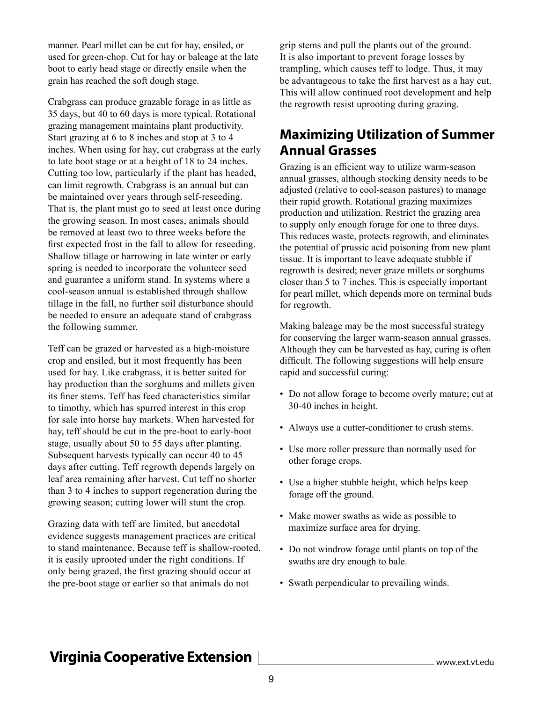manner. Pearl millet can be cut for hay, ensiled, or used for green-chop. Cut for hay or baleage at the late boot to early head stage or directly ensile when the grain has reached the soft dough stage.

Crabgrass can produce grazable forage in as little as 35 days, but 40 to 60 days is more typical. Rotational grazing management maintains plant productivity. Start grazing at 6 to 8 inches and stop at 3 to 4 inches. When using for hay, cut crabgrass at the early to late boot stage or at a height of 18 to 24 inches. Cutting too low, particularly if the plant has headed, can limit regrowth. Crabgrass is an annual but can be maintained over years through self-reseeding. That is, the plant must go to seed at least once during the growing season. In most cases, animals should be removed at least two to three weeks before the first expected frost in the fall to allow for reseeding. Shallow tillage or harrowing in late winter or early spring is needed to incorporate the volunteer seed and guarantee a uniform stand. In systems where a cool-season annual is established through shallow tillage in the fall, no further soil disturbance should be needed to ensure an adequate stand of crabgrass the following summer.

Teff can be grazed or harvested as a high-moisture crop and ensiled, but it most frequently has been used for hay. Like crabgrass, it is better suited for hay production than the sorghums and millets given its finer stems. Teff has feed characteristics similar to timothy, which has spurred interest in this crop for sale into horse hay markets. When harvested for hay, teff should be cut in the pre-boot to early-boot stage, usually about 50 to 55 days after planting. Subsequent harvests typically can occur 40 to 45 days after cutting. Teff regrowth depends largely on leaf area remaining after harvest. Cut teff no shorter than 3 to 4 inches to support regeneration during the growing season; cutting lower will stunt the crop.

Grazing data with teff are limited, but anecdotal evidence suggests management practices are critical to stand maintenance. Because teff is shallow-rooted, it is easily uprooted under the right conditions. If only being grazed, the first grazing should occur at the pre-boot stage or earlier so that animals do not

grip stems and pull the plants out of the ground. It is also important to prevent forage losses by trampling, which causes teff to lodge. Thus, it may be advantageous to take the first harvest as a hay cut. This will allow continued root development and help the regrowth resist uprooting during grazing.

## **Maximizing Utilization of Summer Annual Grasses**

Grazing is an efficient way to utilize warm-season annual grasses, although stocking density needs to be adjusted (relative to cool-season pastures) to manage their rapid growth. Rotational grazing maximizes production and utilization. Restrict the grazing area to supply only enough forage for one to three days. This reduces waste, protects regrowth, and eliminates the potential of prussic acid poisoning from new plant tissue. It is important to leave adequate stubble if regrowth is desired; never graze millets or sorghums closer than 5 to 7 inches. This is especially important for pearl millet, which depends more on terminal buds for regrowth.

Making baleage may be the most successful strategy for conserving the larger warm-season annual grasses. Although they can be harvested as hay, curing is often difficult. The following suggestions will help ensure rapid and successful curing:

- Do not allow forage to become overly mature; cut at 30-40 inches in height.
- Always use a cutter-conditioner to crush stems.
- Use more roller pressure than normally used for other forage crops.
- Use a higher stubble height, which helps keep forage off the ground.
- Make mower swaths as wide as possible to maximize surface area for drying.
- Do not windrow forage until plants on top of the swaths are dry enough to bale.
- Swath perpendicular to prevailing winds.